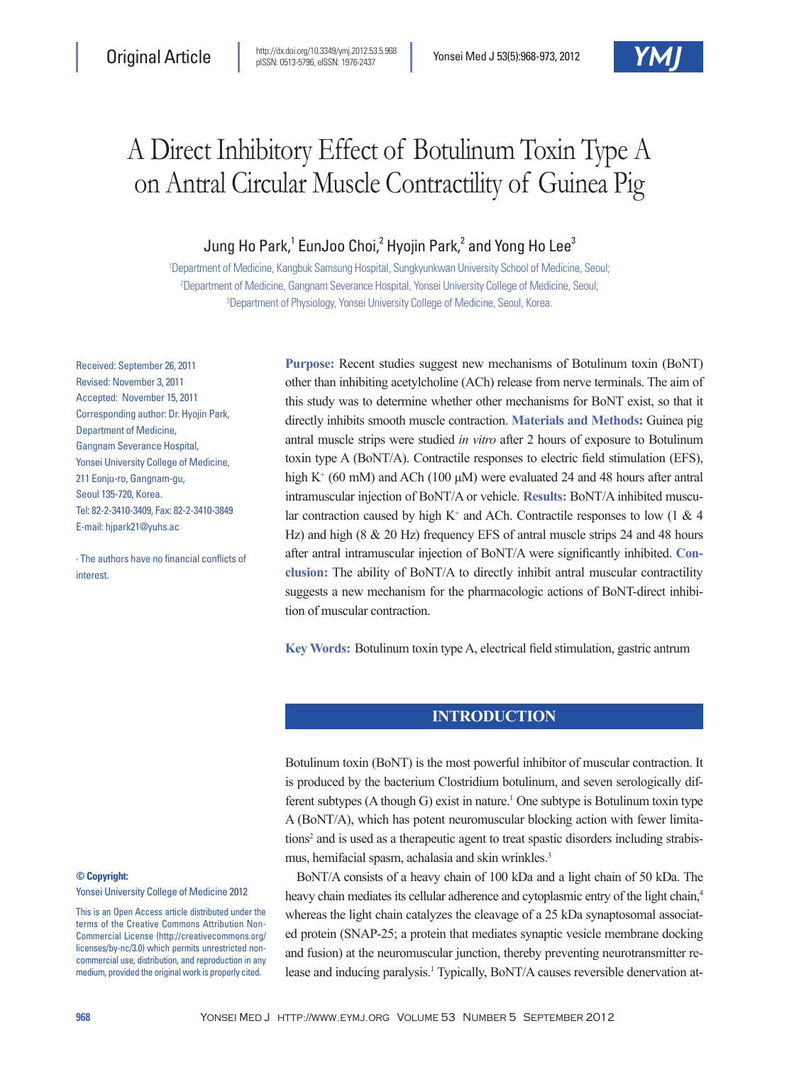# A Direct Inhibitory Effect of Botulinum Toxin Type A on Antral Circular Muscle Contractility of Guinea Pig

# Jung Ho Park,<sup>1</sup> EunJoo Choi,<sup>2</sup> Hyojin Park,<sup>2</sup> and Yong Ho Lee<sup>3</sup>

1 Department of Medicine, Kangbuk Samsung Hospital, Sungkyunkwan University School of Medicine, Seoul; 2 Department of Medicine, Gangnam Severance Hospital, Yonsei University College of Medicine, Seoul; 3 Department of Physiology, Yonsei University College of Medicine, Seoul, Korea.

Received: September 26, 2011 Revised: November 3, 2011 Accepted: November 15, 2011 Corresponding author: Dr. Hyojin Park, Department of Medicine, Gangnam Severance Hospital, Yonsei University College of Medicine, 211 Eoniu-ro, Gangnam-gu, Seoul 135-720, Korea. Tel: 82-2-3410-3409, Fax: 82-2-3410-3849 E-mail: hjpark21@yuhs.ac

∙ The authors have no financial conflicts of **interest** 

**Purpose:** Recent studies suggest new mechanisms of Botulinum toxin (BoNT) other than inhibiting acetylcholine (ACh) release from nerve terminals. The aim of this study was to determine whether other mechanisms for BoNT exist, so that it directly inhibits smooth muscle contraction. **Materials and Methods:** Guinea pig antral muscle strips were studied *in vitro* after 2 hours of exposure to Botulinum toxin type A (BoNT/A). Contractile responses to electric field stimulation (EFS), high K<sup>+</sup> (60 mM) and ACh (100  $\mu$ M) were evaluated 24 and 48 hours after antral intramuscular injection of BoNT/A or vehicle. **Results:** BoNT/A inhibited muscular contraction caused by high K<sup>+</sup> and ACh. Contractile responses to low  $(1 \& 4)$ Hz) and high (8 & 20 Hz) frequency EFS of antral muscle strips 24 and 48 hours after antral intramuscular injection of BoNT/A were significantly inhibited. **Conclusion:** The ability of BoNT/A to directly inhibit antral muscular contractility suggests a new mechanism for the pharmacologic actions of BoNT-direct inhibition of muscular contraction.

**Key Words:** Botulinum toxin type A, electrical field stimulation, gastric antrum

# **INTRODUCTION**

Botulinum toxin (BoNT) is the most powerful inhibitor of muscular contraction. It is produced by the bacterium Clostridium botulinum, and seven serologically different subtypes (A though G) exist in nature.<sup>1</sup> One subtype is Botulinum toxin type A (BoNT/A), which has potent neuromuscular blocking action with fewer limitations<sup>2</sup> and is used as a therapeutic agent to treat spastic disorders including strabismus, hemifacial spasm, achalasia and skin wrinkles.<sup>3</sup>

BoNT/A consists of a heavy chain of 100 kDa and a light chain of 50 kDa. The heavy chain mediates its cellular adherence and cytoplasmic entry of the light chain,<sup>4</sup> whereas the light chain catalyzes the cleavage of a 25 kDa synaptosomal associated protein (SNAP-25; a protein that mediates synaptic vesicle membrane docking and fusion) at the neuromuscular junction, thereby preventing neurotransmitter release and inducing paralysis.<sup>1</sup> Typically, BoNT/A causes reversible denervation at-

### **© Copyright:**

Yonsei University College of Medicine 2012

This is an Open Access article distributed under the terms of the Creative Commons Attribution Non-Commercial License (http://creativecommons.org/ licenses/by-nc/3.0) which permits unrestricted noncommercial use, distribution, and reproduction in any medium, provided the original work is properly cited.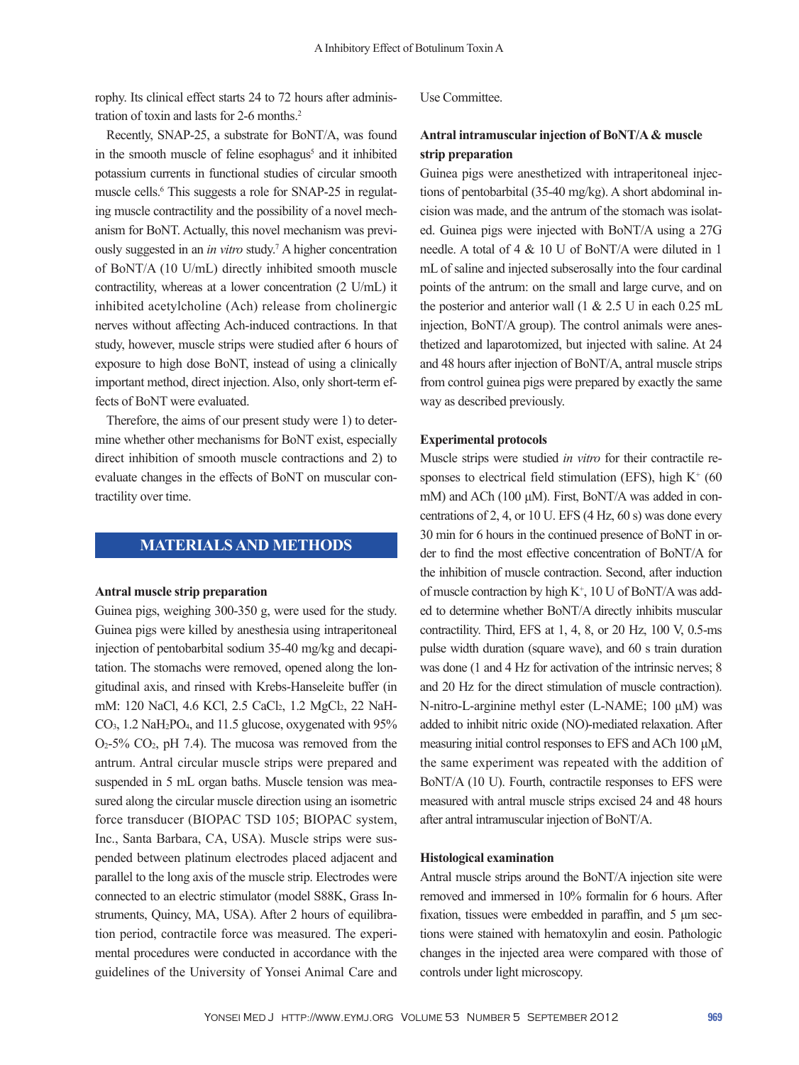rophy. Its clinical effect starts 24 to 72 hours after administration of toxin and lasts for 2-6 months.2

Recently, SNAP-25, a substrate for BoNT/A, was found in the smooth muscle of feline esophagus<sup>5</sup> and it inhibited potassium currents in functional studies of circular smooth muscle cells.<sup>6</sup> This suggests a role for SNAP-25 in regulating muscle contractility and the possibility of a novel mechanism for BoNT. Actually, this novel mechanism was previously suggested in an *in vitro* study.7 A higher concentration of BoNT/A (10 U/mL) directly inhibited smooth muscle contractility, whereas at a lower concentration (2 U/mL) it inhibited acetylcholine (Ach) release from cholinergic nerves without affecting Ach-induced contractions. In that study, however, muscle strips were studied after 6 hours of exposure to high dose BoNT, instead of using a clinically important method, direct injection. Also, only short-term effects of BoNT were evaluated.

Therefore, the aims of our present study were 1) to determine whether other mechanisms for BoNT exist, especially direct inhibition of smooth muscle contractions and 2) to evaluate changes in the effects of BoNT on muscular contractility over time.

# **MATERIALS AND METHODS**

#### **Antral muscle strip preparation**

Guinea pigs, weighing 300-350 g, were used for the study. Guinea pigs were killed by anesthesia using intraperitoneal injection of pentobarbital sodium 35-40 mg/kg and decapitation. The stomachs were removed, opened along the longitudinal axis, and rinsed with Krebs-Hanseleite buffer (in mM: 120 NaCl, 4.6 KCl, 2.5 CaCl2, 1.2 MgCl2, 22 NaH-CO<sub>3</sub>, 1.2 NaH<sub>2</sub>PO<sub>4</sub>, and 11.5 glucose, oxygenated with 95%  $O<sub>2</sub>$ -5%  $CO<sub>2</sub>$ , pH 7.4). The mucosa was removed from the antrum. Antral circular muscle strips were prepared and suspended in 5 mL organ baths. Muscle tension was measured along the circular muscle direction using an isometric force transducer (BIOPAC TSD 105; BIOPAC system, Inc., Santa Barbara, CA, USA). Muscle strips were suspended between platinum electrodes placed adjacent and parallel to the long axis of the muscle strip. Electrodes were connected to an electric stimulator (model S88K, Grass Instruments, Quincy, MA, USA). After 2 hours of equilibration period, contractile force was measured. The experimental procedures were conducted in accordance with the guidelines of the University of Yonsei Animal Care and Use Committee.

# **Antral intramuscular injection of BoNT/A & muscle strip preparation**

Guinea pigs were anesthetized with intraperitoneal injections of pentobarbital (35-40 mg/kg). A short abdominal incision was made, and the antrum of the stomach was isolated. Guinea pigs were injected with BoNT/A using a 27G needle. A total of 4 & 10 U of BoNT/A were diluted in 1 mL of saline and injected subserosally into the four cardinal points of the antrum: on the small and large curve, and on the posterior and anterior wall  $(1 \& 2.5 \text{ U} \text{ in each } 0.25 \text{ mL})$ injection, BoNT/A group). The control animals were anesthetized and laparotomized, but injected with saline. At 24 and 48 hours after injection of BoNT/A, antral muscle strips from control guinea pigs were prepared by exactly the same way as described previously.

#### **Experimental protocols**

Muscle strips were studied *in vitro* for their contractile responses to electrical field stimulation (EFS), high  $K^+$  (60 mM) and ACh (100 μM). First, BoNT/A was added in concentrations of 2, 4, or 10 U. EFS (4 Hz, 60 s) was done every 30 min for 6 hours in the continued presence of BoNT in order to find the most effective concentration of BoNT/A for the inhibition of muscle contraction. Second, after induction of muscle contraction by high  $K^+$ , 10 U of BoNT/A was added to determine whether BoNT/A directly inhibits muscular contractility. Third, EFS at 1, 4, 8, or 20 Hz, 100 V, 0.5-ms pulse width duration (square wave), and 60 s train duration was done (1 and 4 Hz for activation of the intrinsic nerves; 8 and 20 Hz for the direct stimulation of muscle contraction). N-nitro-L-arginine methyl ester (L-NAME; 100 μM) was added to inhibit nitric oxide (NO)-mediated relaxation. After measuring initial control responses to EFS and ACh 100 μM, the same experiment was repeated with the addition of BoNT/A (10 U). Fourth, contractile responses to EFS were measured with antral muscle strips excised 24 and 48 hours after antral intramuscular injection of BoNT/A.

#### **Histological examination**

Antral muscle strips around the BoNT/A injection site were removed and immersed in 10% formalin for 6 hours. After fixation, tissues were embedded in paraffin, and 5 μm sections were stained with hematoxylin and eosin. Pathologic changes in the injected area were compared with those of controls under light microscopy.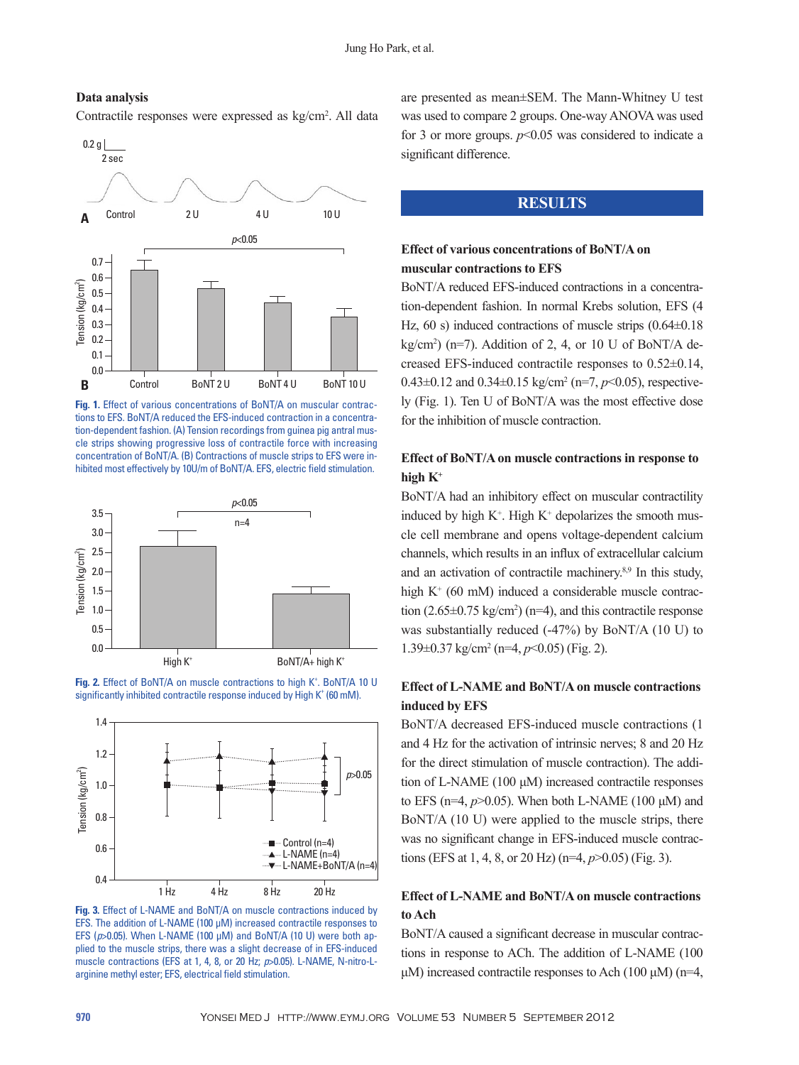

### **Data analysis**

Contractile responses were expressed as kg/cm<sup>2</sup>. All data









**Fig. 3.** Effect of L-NAME and BoNT/A on muscle contractions induced by EFS. The addition of L-NAME (100 μM) increased contractile responses to EFS (*p*>0.05). When L-NAME (100 μM) and BoNT/A (10 U) were both applied to the muscle strips, there was a slight decrease of in EFS-induced muscle contractions (EFS at 1, 4, 8, or 20 Hz; *p*>0.05). L-NAME, N-nitro-Larginine methyl ester; EFS, electrical field stimulation.

are presented as mean±SEM. The Mann-Whitney U test was used to compare 2 groups. One-way ANOVA was used for 3 or more groups.  $p<0.05$  was considered to indicate a significant difference.

# **RESULTS**

# **Effect of various concentrations of BoNT/A on muscular contractions to EFS**

BoNT/A reduced EFS-induced contractions in a concentration-dependent fashion. In normal Krebs solution, EFS (4 Hz, 60 s) induced contractions of muscle strips  $(0.64\pm0.18)$  $kg/cm<sup>2</sup>$ ) (n=7). Addition of 2, 4, or 10 U of BoNT/A decreased EFS-induced contractile responses to 0.52±0.14, 0.43±0.12 and 0.34±0.15 kg/cm<sup>2</sup> (n=7, p<0.05), respectively (Fig. 1). Ten U of BoNT/A was the most effective dose for the inhibition of muscle contraction.

# **Effect of BoNT/A on muscle contractions in response to high K+**

BoNT/A had an inhibitory effect on muscular contractility induced by high  $K^+$ . High  $K^+$  depolarizes the smooth muscle cell membrane and opens voltage-dependent calcium channels, which results in an influx of extracellular calcium and an activation of contractile machinery.8,9 In this study, high K<sup>+</sup> (60 mM) induced a considerable muscle contraction  $(2.65 \pm 0.75 \text{ kg/cm}^2)$  (n=4), and this contractile response was substantially reduced (-47%) by BoNT/A (10 U) to 1.39±0.37 kg/cm2 (n=4, *p*<0.05) (Fig. 2).

# **Effect of L-NAME and BoNT/A on muscle contractions induced by EFS**

BoNT/A decreased EFS-induced muscle contractions (1 and 4 Hz for the activation of intrinsic nerves; 8 and 20 Hz for the direct stimulation of muscle contraction). The addition of L-NAME (100 μM) increased contractile responses to EFS ( $n=4$ ,  $p>0.05$ ). When both L-NAME (100  $\mu$ M) and BoNT/A (10 U) were applied to the muscle strips, there was no significant change in EFS-induced muscle contractions (EFS at 1, 4, 8, or 20 Hz) (n=4, *p*>0.05) (Fig. 3).

# **Effect of L-NAME and BoNT/A on muscle contractions to Ach**

BoNT/A caused a significant decrease in muscular contractions in response to ACh. The addition of L-NAME (100 μM) increased contractile responses to Ach (100 μM) (n=4,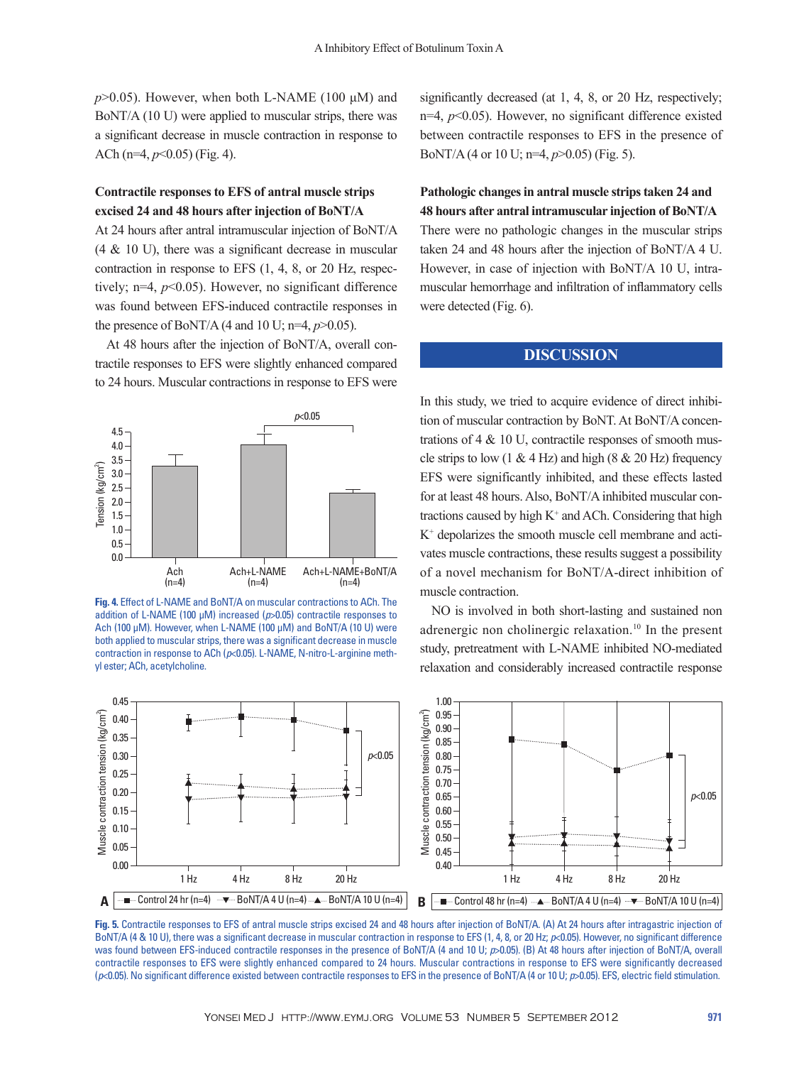$p > 0.05$ ). However, when both L-NAME (100  $\mu$ M) and BoNT/A (10 U) were applied to muscular strips, there was a significant decrease in muscle contraction in response to ACh (n=4, *p*<0.05) (Fig. 4).

## **Contractile responses to EFS of antral muscle strips excised 24 and 48 hours after injection of BoNT/A**

At 24 hours after antral intramuscular injection of BoNT/A  $(4 \& 10 \text{ U})$ , there was a significant decrease in muscular contraction in response to EFS (1, 4, 8, or 20 Hz, respectively; n=4, *p*<0.05). However, no significant difference was found between EFS-induced contractile responses in the presence of BoNT/A (4 and 10 U;  $n=4$ ,  $p>0.05$ ).

At 48 hours after the injection of BoNT/A, overall contractile responses to EFS were slightly enhanced compared to 24 hours. Muscular contractions in response to EFS were



**Fig. 4.** Effect of L-NAME and BoNT/A on muscular contractions to ACh. The addition of L-NAME (100 μM) increased (*p*>0.05) contractile responses to Ach (100 μM). However, when L-NAME (100 μM) and BoNT/A (10 U) were both applied to muscular strips, there was a significant decrease in muscle contraction in response to ACh (*p*<0.05). L-NAME, N-nitro-L-arginine methyl ester; ACh, acetylcholine.

Muscle contraction tension (kg/cm $^2$ 

 $\widehat{\phantom{m}}$ 

0.45 1.00  $\widehat{\phantom{m}}$ 0.95 0.40 Muscle contraction tension (kg/cm $^2$ 0.90 0.35 0.85 *p*<0.05 0.30 0.80 0.75 0.25 0.70 0.20 0.65 0.15 0.60 0.55 0.10 Muscle 0.50 0.05 0.45  $0.00$   $\longrightarrow$  0.40 1 Hz 4 Hz 8 Hz 20 Hz 1 Hz 4 Hz 8 Hz 20 Hz **A** Control 24 hr (n=4) BoNT/A 4 U (n=4) BoNT/A 10 U (n=4) **B** Control 48 hr (n=4) BoNT/A 4 U (n=4) BoNT/A 10 U (n=4)

significantly decreased (at 1, 4, 8, or 20 Hz, respectively; n=4, *p*<0.05). However, no significant difference existed between contractile responses to EFS in the presence of BoNT/A (4 or 10 U; n=4, *p*>0.05) (Fig. 5).

# **Pathologic changes in antral muscle strips taken 24 and 48 hours after antral intramuscular injection of BoNT/A**

There were no pathologic changes in the muscular strips taken 24 and 48 hours after the injection of BoNT/A 4 U. However, in case of injection with BoNT/A 10 U, intramuscular hemorrhage and infiltration of inflammatory cells were detected (Fig. 6).

# **DISCUSSION**

In this study, we tried to acquire evidence of direct inhibition of muscular contraction by BoNT. At BoNT/A concentrations of 4 & 10 U, contractile responses of smooth muscle strips to low  $(1 \& 4 Hz)$  and high  $(8 \& 20 Hz)$  frequency EFS were significantly inhibited, and these effects lasted for at least 48 hours. Also, BoNT/A inhibited muscular contractions caused by high  $K^+$  and ACh. Considering that high K+ depolarizes the smooth muscle cell membrane and activates muscle contractions, these results suggest a possibility of a novel mechanism for BoNT/A-direct inhibition of muscle contraction.

NO is involved in both short-lasting and sustained non adrenergic non cholinergic relaxation.10 In the present study, pretreatment with L-NAME inhibited NO-mediated relaxation and considerably increased contractile response

Fig. 5. Contractile responses to EFS of antral muscle strips excised 24 and 48 hours after injection of BoNT/A. (A) At 24 hours after intragastric injection of BoNT/A (4 & 10 U), there was a significant decrease in muscular contraction in response to EFS (1, 4, 8, or 20 Hz; *p*<0.05). However, no significant difference was found between EFS-induced contractile responses in the presence of BoNT/A (4 and 10 U;  $p$ >0.05). (B) At 48 hours after injection of BoNT/A, overall contractile responses to EFS were slightly enhanced compared to 24 hours. Muscular contractions in response to EFS were significantly decreased (*p*<0.05). No significant difference existed between contractile responses to EFS in the presence of BoNT/A (4 or 10 U; *p*>0.05). EFS, electric field stimulation.

*p*<0.05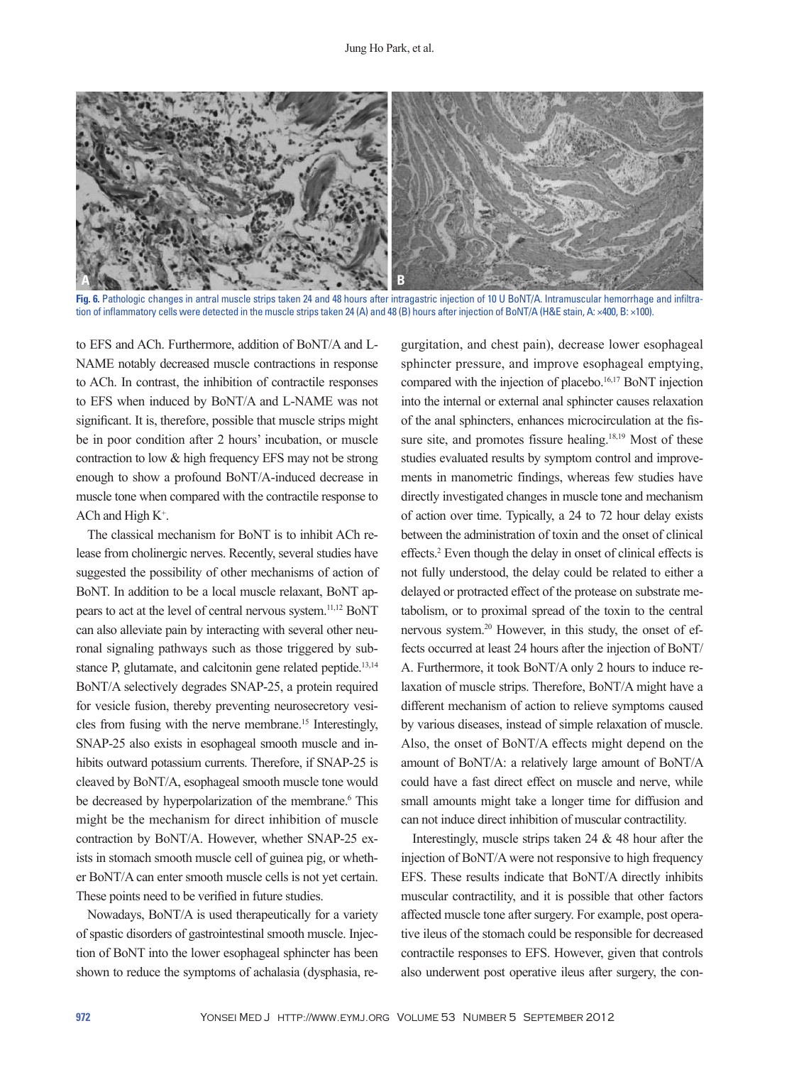

**Fig. 6.** Pathologic changes in antral muscle strips taken 24 and 48 hours after intragastric injection of 10 U BoNT/A. Intramuscular hemorrhage and infiltration of inflammatory cells were detected in the muscle strips taken 24 (A) and 48 (B) hours after injection of BoNT/A (H&E stain, A: ×400, B: ×100).

to EFS and ACh. Furthermore, addition of BoNT/A and L-NAME notably decreased muscle contractions in response to ACh. In contrast, the inhibition of contractile responses to EFS when induced by BoNT/A and L-NAME was not significant. It is, therefore, possible that muscle strips might be in poor condition after 2 hours' incubation, or muscle contraction to low & high frequency EFS may not be strong enough to show a profound BoNT/A-induced decrease in muscle tone when compared with the contractile response to ACh and High K<sup>+</sup>.

The classical mechanism for BoNT is to inhibit ACh release from cholinergic nerves. Recently, several studies have suggested the possibility of other mechanisms of action of BoNT. In addition to be a local muscle relaxant, BoNT appears to act at the level of central nervous system.11,12 BoNT can also alleviate pain by interacting with several other neuronal signaling pathways such as those triggered by substance P, glutamate, and calcitonin gene related peptide.<sup>13,14</sup> BoNT/A selectively degrades SNAP-25, a protein required for vesicle fusion, thereby preventing neurosecretory vesicles from fusing with the nerve membrane.15 Interestingly, SNAP-25 also exists in esophageal smooth muscle and inhibits outward potassium currents. Therefore, if SNAP-25 is cleaved by BoNT/A, esophageal smooth muscle tone would be decreased by hyperpolarization of the membrane.<sup>6</sup> This might be the mechanism for direct inhibition of muscle contraction by BoNT/A. However, whether SNAP-25 exists in stomach smooth muscle cell of guinea pig, or whether BoNT/A can enter smooth muscle cells is not yet certain. These points need to be verified in future studies.

Nowadays, BoNT/A is used therapeutically for a variety of spastic disorders of gastrointestinal smooth muscle. Injection of BoNT into the lower esophageal sphincter has been shown to reduce the symptoms of achalasia (dysphasia, regurgitation, and chest pain), decrease lower esophageal sphincter pressure, and improve esophageal emptying, compared with the injection of placebo.16,17 BoNT injection into the internal or external anal sphincter causes relaxation of the anal sphincters, enhances microcirculation at the fissure site, and promotes fissure healing.<sup>18,19</sup> Most of these studies evaluated results by symptom control and improvements in manometric findings, whereas few studies have directly investigated changes in muscle tone and mechanism of action over time. Typically, a 24 to 72 hour delay exists between the administration of toxin and the onset of clinical effects.2 Even though the delay in onset of clinical effects is not fully understood, the delay could be related to either a delayed or protracted effect of the protease on substrate metabolism, or to proximal spread of the toxin to the central nervous system.20 However, in this study, the onset of effects occurred at least 24 hours after the injection of BoNT/ A. Furthermore, it took BoNT/A only 2 hours to induce relaxation of muscle strips. Therefore, BoNT/A might have a different mechanism of action to relieve symptoms caused by various diseases, instead of simple relaxation of muscle. Also, the onset of BoNT/A effects might depend on the amount of BoNT/A: a relatively large amount of BoNT/A could have a fast direct effect on muscle and nerve, while small amounts might take a longer time for diffusion and can not induce direct inhibition of muscular contractility.

Interestingly, muscle strips taken 24 & 48 hour after the injection of BoNT/A were not responsive to high frequency EFS. These results indicate that BoNT/A directly inhibits muscular contractility, and it is possible that other factors affected muscle tone after surgery. For example, post operative ileus of the stomach could be responsible for decreased contractile responses to EFS. However, given that controls also underwent post operative ileus after surgery, the con